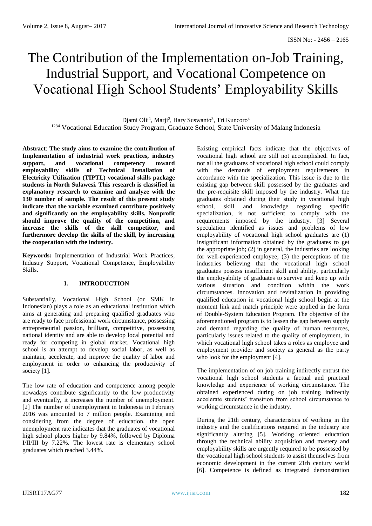# The Contribution of the Implementation on-Job Training, Industrial Support, and Vocational Competence on Vocational High School Students' Employability Skills

Djami Olii<sup>1</sup>, Marji<sup>2</sup>, Hary Suswanto<sup>3</sup>, Tri Kuncoro<sup>4</sup> <sup>1234</sup> Vocational Education Study Program, Graduate School, State University of Malang Indonesia

**Abstract**: **The study aims to examine the contribution of Implementation of industrial work practices, industry support, and vocational competency toward employability skills of Technical Installation of Electricity Utilization (TIPTL) vocational skills package students in North Sulawesi. This research is classified in explanatory research to examine and analyze with the 130 number of sample. The result of this present study indicate that the variable examined contribute positively and significantly on the employability skills. Nonprofit should improve the quality of the competition, and increase the skills of the skill competitor, and furthermore develop the skills of the skill, by increasing the cooperation with the industry.**

**Keywords:** Implementation of Industrial Work Practices, Industry Support, Vocational Competence, Employability Skills.

#### **I. INTRODUCTION**

Substantially, Vocational High School (or SMK in Indonesian) plays a role as an educational institution which aims at generating and preparing qualified graduates who are ready to face professional work circumstance, possessing entrepreneurial passion, brilliant, competitive, possessing national identity and are able to develop local potential and ready for competing in global market. Vocational high school is an attempt to develop social labor, as well as maintain, accelerate, and improve the quality of labor and employment in order to enhancing the productivity of society [1].

The low rate of education and competence among people nowadays contribute significantly to the low productivity and eventually, it increases the number of unemployment. [2] The number of unemployment in Indonesia in February 2016 was amounted to 7 million people. Examining and considering from the degree of education, the open unemployment rate indicates that the graduates of vocational high school places higher by 9.84%, followed by Diploma I/II/III by 7.22%. The lowest rate is elementary school graduates which reached 3.44%.

Existing empirical facts indicate that the objectives of vocational high school are still not accomplished. In fact, not all the graduates of vocational high school could comply with the demands of employment requirements in accordance with the specialization. This issue is due to the existing gap between skill possessed by the graduates and the pre-requisite skill imposed by the industry. What the graduates obtained during their study in vocational high school, skill and knowledge regarding specific specialization, is not sufficient to comply with the requirements imposed by the industry. [3] Several speculation identified as issues and problems of low employability of vocational high school graduates are (1) insignificant information obtained by the graduates to get the appropriate job; (2) in general, the industries are looking for well-experienced employee; (3) the perceptions of the industries believing that the vocational high school graduates possess insufficient skill and ability, particularly the employability of graduates to survive and keep up with various situation and condition within the work circumstances. Innovation and revitalization in providing qualified education in vocational high school begin at the moment link and match principle were applied in the form of Double-System Education Program. The objective of the aforementioned program is to lessen the gap between supply and demand regarding the quality of human resources, particularly issues related to the quality of employment, in which vocational high school takes a roles as employee and employment provider and society as general as the party who look for the employment [4].

The implementation of on job training indirectly entrust the vocational high school students a factual and practical knowledge and experience of working circumstance. The obtained experienced during on job training indirectly accelerate students' transition from school circumstance to working circumstance in the industry.

During the 21th century, characteristics of working in the industry and the qualifications required in the industry are significantly altering [5]. Working oriented education through the technical ability acquisition and mastery and employability skills are urgently required to be possessed by the vocational high school students to assist themselves from economic development in the current 21th century world [6]. Competence is defined as integrated demonstration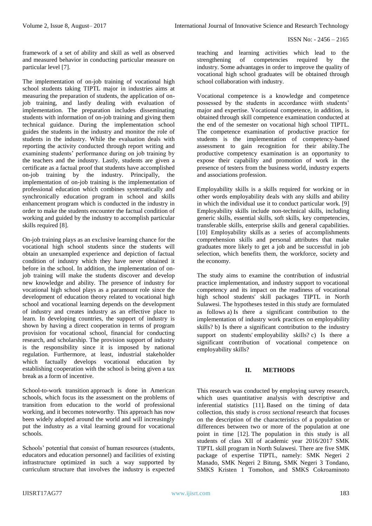framework of a set of ability and skill as well as observed and measured behavior in conducting particular measure on particular level [7].

The implementation of on-job training of vocational high school students taking TIPTL major in industries aims at measuring the preparation of students, the application of onjob training, and lastly dealing with evaluation of implementation. The preparation includes disseminating students with information of on-job training and giving them technical guidance. During the implementation school guides the students in the industry and monitor the role of students in the industry. While the evaluation deals with reporting the activity conducted through report writing and examining students' performance during on job training by the teachers and the industry. Lastly, students are given a certificate as a factual proof that students have accomplished on-job training by the industry. Principally, the implementation of on-job training is the implementation of professional education which combines systematically and synchronically education program in school and skills enhancement program which is conducted in the industry in order to make the students encounter the factual condition of working and guided by the industry to accomplish particular skills required [8].

On-job training plays as an exclusive learning chance for the vocational high school students since the students will obtain an unexampled experience and depiction of factual condition of industry which they have never obtained it before in the school. In addition, the implementation of onjob training will make the students discover and develop new knowledge and ability. The presence of industry for vocational high school plays as a paramount role since the development of education theory related to vocational high school and vocational learning depends on the development of industry and creates industry as an effective place to learn. In developing countries, the support of industry is shown by having a direct cooperation in terms of program provision for vocational school, financial for conducting research, and scholarship. The provision support of industry is the responsibility since it is imposed by national regulation. Furthermore, at least, industrial stakeholder which factually develops vocational education by establishing cooperation with the school is being given a tax break as a form of incentive.

School-to-work transition approach is done in American schools, which focus its the assessment on the problems of transition from education to the world of professional working, and it becomes noteworthy. This approach has now been widely adopted around the world and will increasingly put the industry as a vital learning ground for vocational schools.

Schools' potential that consist of human resources (students, educators and education personnel) and facilities of existing infrastructure optimized in such a way supported by curriculum structure that involves the industry is expected

teaching and learning activities which lead to the strengthening of competencies required by the industry. Some advantages in order to improve the quality of vocational high school graduates will be obtained through school collaboration with industry.

Vocational competence is a knowledge and competence possessed by the students in accordance wiith students' major and expertise. Vocational competence, in addition, is obtained through skill competence examination conducted at the end of the semester on vocational high school TIPTL. The competence examination of productive practice for students is the implementation of competency-based assessment to gain recognition for their ability.The productive competency examination is an opportunity to expose their capability and promotion of work in the presence of testers from the business world, industry experts and associations profession.

Employability skills is a skills required for working or in other words employability deals with any skills and ability in which the individual use it to conduct particular work. [9] Employability skills include non-technical skills, including generic skills, essential skills, soft skills, key competencies, transferable skills, enterprise skills and general capabilities. [10] Employability skills as a series of accomplishments comprehension skills and personal attributes that make graduates more likely to get a job and be successful in job selection, which benefits them, the workforce, society and the economy.

The study aims to examine the contribution of industrial practice implementation, and industry support to vocational competency and its impact on the readiness of vocational high school students' skill packages TIPTL in North Sulawesi. The hypotheses tested in this study are formulated as follows a) Is there a significant contribution to the implementation of industry work practices on employability skills? b) Is there a significant contribution to the industry support on students' employability skills? c) Is there a significant contribution of vocational competence on employability skills?

## **II. METHODS**

This research was conducted by employing survey research, which uses quantitative analysis with descriptive and inferential statistics [11]. Based on the timing of data collection, this study is *cross sectional* research that focuses on the description of the characteristics of a population or differences between two or more of the population at one point in time [12]. The population in this study is all students of class XII of academic year 2016/2017 SMK TIPTL skill program in North Sulawesi. There are five SMK package of expertise TIPTL, namely: SMK Negeri 2 Manado, SMK Negeri 2 Bitung, SMK Negeri 3 Tondano, SMKS Kristen 1 Tomohon, and SMKS Cokroaminoto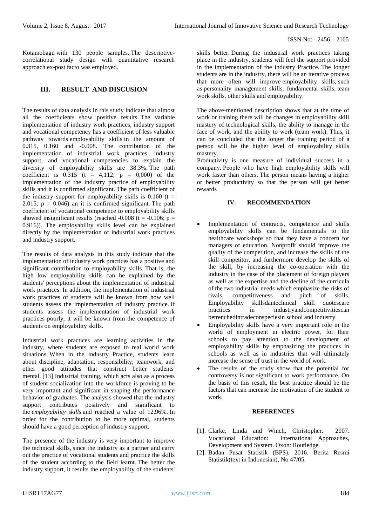Kotamobagu with 130 people samples. The descriptivecorrelational study design with quantitative research approach ex-post facto was employed.

### **III. RESULT AND DISCUSION**

The results of data analysis in this study indicate that almost all the coefficients show positive results. The variable implementation of industry work practices, industry support and vocational competency has a coefficient of less valuable pathway towards employability skills in the amount of 0.315, 0.160 and -0.008. The contribution of the implementation of industrial work practices, industry support, and vocational competencies to explain the diversity of employability skills are 38.3%. The path coefficient is  $0.315$  (t = 4,112; p = 0,000) of the implementation of the industry practice of employability skills and it is confirmed significant. The path coefficient of the industry support for employability skills is  $0.160$  (t = 2.015;  $p = 0.046$  an it is confirmed significant. The path coefficient of vocational competence to employability skills showed insignificant results (reached -0.008 (t = -0.106;  $p =$ 0.916)). The employability skills level can be explained directly by the implementation of industrial work practices and industry support.

The results of data analysis in this study indicate that the implementation of industry work practices has a positive and significant contribution to employability skills. That is, the high low employability skills can be explained by the students' perceptions about the implementation of industrial work practices. In addition, the implementation of industrial work practices of students will be known from how well students assess the implementation of industry practice. If students assess the implementation of industrial work practices poorly, it will be known from the competence of students on employability skills.

Industrial work practices are learning activities in the industry, where students are exposed to real world work situations. When in the industry Practice, students learn about discipline, adaptation, responsibility, teamwork, and other good attitudes that construct better students' mental. [13] Industrial training, which acts also as a process of student socialization into the workforce is proving to be very important and significant in shaping the performance behavior of graduates. The analysis showed that the industry support contributes positively and significant to the *employability skills* and reached a value of 12.96%. In order for the contribution to be more optimal, students should have a good perception of industry support.

The presence of the industry is very important to improve the technical skills, since the industry as a partner and carry out the practice of vocational students and practice the skills of the student according to the field learnt. The better the industry support, it results the employability of the students'

skills better. During the industrial work practices taking place in the industry, students will feel the support provided in the implementation of the industry Practice. The longer students are in the industry, there will be an iterative process that more often will improve employability skills, such as personality management skills, fundamental skills, team work skills, other skills and employability.

The above-mentioned description shows that at the time of work or training there will be changes in employability skill mastery of technological skills, the ability to manage in the face of work, and the ability to work (team work). Thus, it can be concluded that the longer the training period of a person will be the higher level of employability skills mastery.

Productivity is one measure of individual success in a company. People who have high employability skills will work faster than others. The person means having a higher or better productivity so that the person will get better rewards

### **IV. RECOMMENDATION**

- Implementation of contracts, competence and skills employability skills can be fundamentals to the healthcare workshops so that they have a concern for managers of education. Nonprofit should improve the quality of the competition, and increase the skills of the skill competitor, and furthermore develop the skills of the skill, by increasing the co-operation with the industry in the case of the placement of foreign players as well as the expertise and the decline of the curricula of the two industrial needs which emphasize the risks of rivals, competitiveness and pitch of skills. Employability skillsdantechnical skill quotescare practices in industryandcompetitivitiescan betrenchedintradeconspeciesin school and industry.
- Employability skills have a very important role in the world of employment in electric power, for their schools to pay attention to the development of employability skills by emphasizing the practices in schools as well as in industries that will ultimately increase the sense of trust in the world of work.
- The results of the study show that the potential for controversy is not significant to work performance. On the basis of this result, the best practice should be the factors that can increase the motivation of the student to work.

#### **REFERENCES**

- [1]. Clarke, Linda and Winch, Christopher. 2007. Vocational Education: International Approaches, Development and System. Oxon: Routledge.
- [2]. Badan Pusat Statistik (BPS). 2016. Berita Resmi Statistik(text in Indonesian), No 47/05.